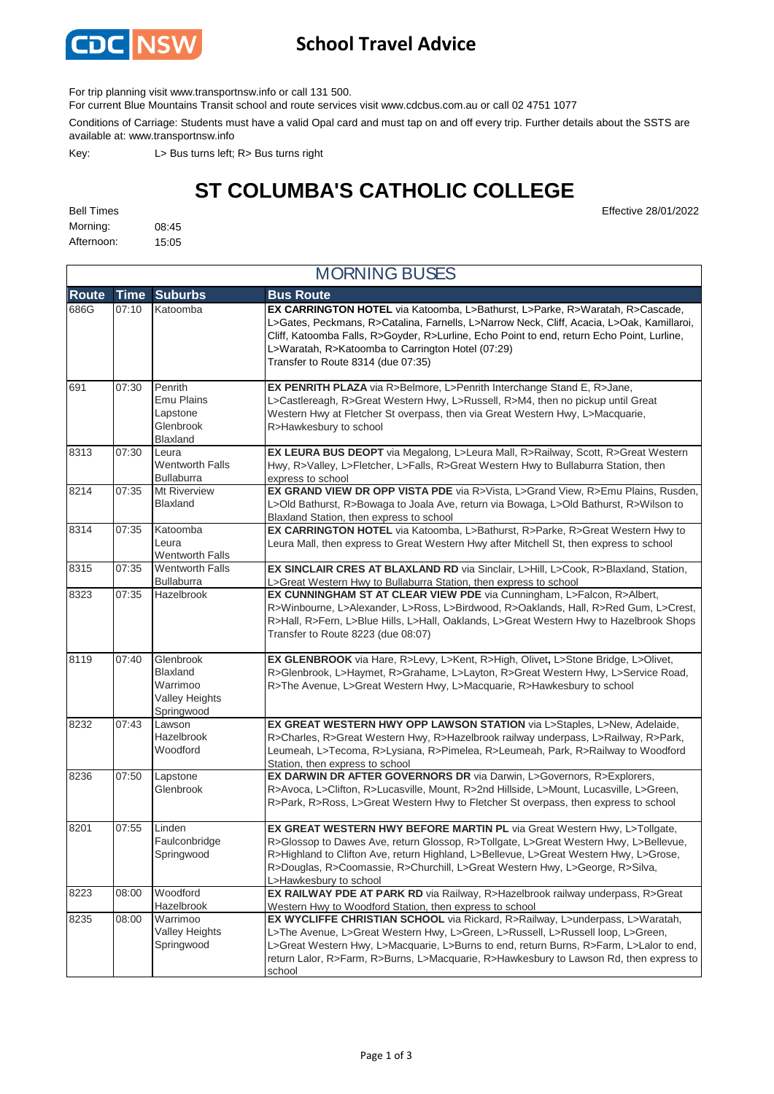

## **School Travel Advice**

For trip planning visit www.transportnsw.info or call 131 500.

For current Blue Mountains Transit school and route services visit www.cdcbus.com.au or call 02 4751 1077

Conditions of Carriage: Students must have a valid Opal card and must tap on and off every trip. Further details about the SSTS are available at: www.transportnsw.info

Key: L> Bus turns left; R> Bus turns right

## **ST COLUMBA'S CATHOLIC COLLEGE**

Morning: 08:45 Afternoon: 15:05

**Route Time Suburbs Bus Route** 686G 07:10 Katoomba **EX CARRINGTON HOTEL** via Katoomba, L>Bathurst, L>Parke, R>Waratah, R>Cascade, L>Gates, Peckmans, R>Catalina, Farnells, L>Narrow Neck, Cliff, Acacia, L>Oak, Kamillaroi, Cliff, Katoomba Falls, R>Goyder, R>Lurline, Echo Point to end, return Echo Point, Lurline, L>Waratah, R>Katoomba to Carrington Hotel (07:29) Transfer to Route 8314 (due 07:35) 691 07:30 Penrith Emu Plains Lapstone Glenbrook Blaxland **EX PENRITH PLAZA** via R>Belmore, L>Penrith Interchange Stand E, R>Jane, L>Castlereagh, R>Great Western Hwy, L>Russell, R>M4, then no pickup until Great Western Hwy at Fletcher St overpass, then via Great Western Hwy, L>Macquarie, R>Hawkesbury to school 8313 07:30 Leura Wentworth Falls Bullaburra **EX LEURA BUS DEOPT** via Megalong, L>Leura Mall, R>Railway, Scott, R>Great Western Hwy, R>Valley, L>Fletcher, L>Falls, R>Great Western Hwy to Bullaburra Station, then express to school 8214 07:35 Mt Riverview Blaxland **EX GRAND VIEW DR OPP VISTA PDE** via R>Vista, L>Grand View, R>Emu Plains, Rusden, L>Old Bathurst, R>Bowaga to Joala Ave, return via Bowaga, L>Old Bathurst, R>Wilson to Blaxland Station, then express to school 8314 07:35 Katoomba Leura Wentworth Falls **EX CARRINGTON HOTEL** via Katoomba, L>Bathurst, R>Parke, R>Great Western Hwy to Leura Mall, then express to Great Western Hwy after Mitchell St, then express to school 8315 07:35 Wentworth Falls Bullaburra **EX SINCLAIR CRES AT BLAXLAND RD** via Sinclair, L>Hill, L>Cook, R>Blaxland, Station, L>Great Western Hwy to Bullaburra Station, then express to school 8323 07:35 Hazelbrook **EX CUNNINGHAM ST AT CLEAR VIEW PDE** via Cunningham, L>Falcon, R>Albert, R>Winbourne, L>Alexander, L>Ross, L>Birdwood, R>Oaklands, Hall, R>Red Gum, L>Crest, R>Hall, R>Fern, L>Blue Hills, L>Hall, Oaklands, L>Great Western Hwy to Hazelbrook Shops Transfer to Route 8223 (due 08:07) 8119 07:40 Glenbrook Blaxland Warrimoo Valley Heights Springwood **EX GLENBROOK** via Hare, R>Levy, L>Kent, R>High, Olivet**,** L>Stone Bridge, L>Olivet, R>Glenbrook, L>Haymet, R>Grahame, L>Layton, R>Great Western Hwy, L>Service Road, R>The Avenue, L>Great Western Hwy, L>Macquarie, R>Hawkesbury to school 8232 07:43 Lawson Hazelbrook Woodford **EX GREAT WESTERN HWY OPP LAWSON STATION** via L>Staples, L>New, Adelaide, R>Charles, R>Great Western Hwy, R>Hazelbrook railway underpass, L>Railway, R>Park, Leumeah, L>Tecoma, R>Lysiana, R>Pimelea, R>Leumeah, Park, R>Railway to Woodford Station, then express to school 8236 07:50 Lapstone Glenbrook **EX DARWIN DR AFTER GOVERNORS DR** via Darwin, L>Governors, R>Explorers, R>Avoca, L>Clifton, R>Lucasville, Mount, R>2nd Hillside, L>Mount, Lucasville, L>Green, R>Park, R>Ross, L>Great Western Hwy to Fletcher St overpass, then express to school 8201 07:55 Linden Faulconbridge Springwood **EX GREAT WESTERN HWY BEFORE MARTIN PL via Great Western Hwy, L>Tollgate,** R>Glossop to Dawes Ave, return Glossop, R>Tollgate, L>Great Western Hwy, L>Bellevue, R>Highland to Clifton Ave, return Highland, L>Bellevue, L>Great Western Hwy, L>Grose, R>Douglas, R>Coomassie, R>Churchill, L>Great Western Hwy, L>George, R>Silva, L>Hawkesbury to school 8223 08:00 Woodford Hazelbrook **EX RAILWAY PDE AT PARK RD** via Railway, R>Hazelbrook railway underpass, R>Great Western Hwy to Woodford Station, then express to school 8235 08:00 Warrimoo Valley Heights Springwood **EX WYCLIFFE CHRISTIAN SCHOOL** via Rickard, R>Railway, L>underpass, L>Waratah, L>The Avenue, L>Great Western Hwy, L>Green, L>Russell, L>Russell loop, L>Green, L>Great Western Hwy, L>Macquarie, L>Burns to end, return Burns, R>Farm, L>Lalor to end, return Lalor, R>Farm, R>Burns, L>Macquarie, R>Hawkesbury to Lawson Rd, then express to school MORNING BUSES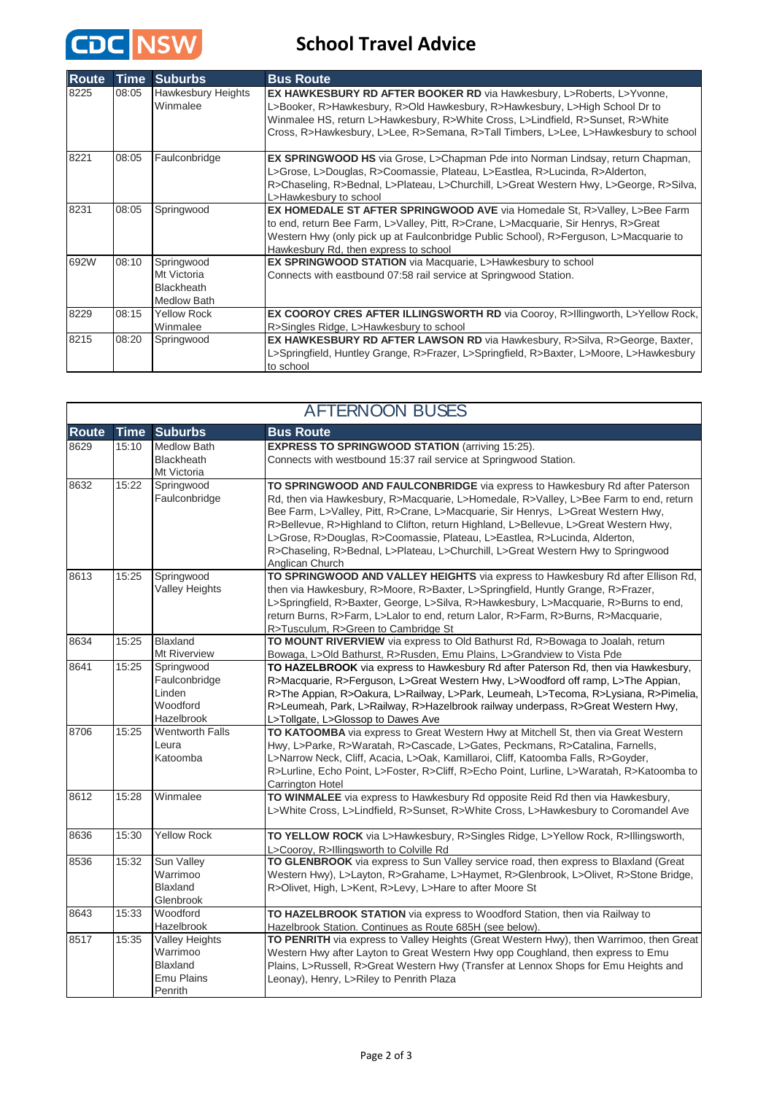

## **School Travel Advice**

| <b>Route</b> | <b>Time</b> | <b>Suburbs</b>                                                | <b>Bus Route</b>                                                                                                                                                                                                                                                                                                                            |
|--------------|-------------|---------------------------------------------------------------|---------------------------------------------------------------------------------------------------------------------------------------------------------------------------------------------------------------------------------------------------------------------------------------------------------------------------------------------|
| 8225         | 08:05       | <b>Hawkesbury Heights</b><br>Winmalee                         | <b>EX HAWKESBURY RD AFTER BOOKER RD via Hawkesbury, L&gt;Roberts, L&gt;Yvonne,</b><br>L>Booker, R>Hawkesbury, R>Old Hawkesbury, R>Hawkesbury, L>High School Dr to<br>Winmalee HS, return L>Hawkesbury, R>White Cross, L>Lindfield, R>Sunset, R>White<br>Cross, R>Hawkesbury, L>Lee, R>Semana, R>Tall Timbers, L>Lee, L>Hawkesbury to school |
| 8221         | 08:05       | Faulconbridge                                                 | EX SPRINGWOOD HS via Grose, L>Chapman Pde into Norman Lindsay, return Chapman,<br>L>Grose, L>Douglas, R>Coomassie, Plateau, L>Eastlea, R>Lucinda, R>Alderton,<br>R>Chaseling, R>Bednal, L>Plateau, L>Churchill, L>Great Western Hwy, L>George, R>Silva,<br>L>Hawkesbury to school                                                           |
| 8231         | 08:05       | Springwood                                                    | <b>EX HOMEDALE ST AFTER SPRINGWOOD AVE via Homedale St, R&gt;Valley, L&gt;Bee Farm</b><br>to end, return Bee Farm, L>Valley, Pitt, R>Crane, L>Macquarie, Sir Henrys, R>Great<br>Western Hwy (only pick up at Faulconbridge Public School), R>Ferguson, L>Macquarie to<br>Hawkesbury Rd, then express to school                              |
| 692W         | 08:10       | Springwood<br>Mt Victoria<br>Blackheath<br><b>Medlow Bath</b> | EX SPRINGWOOD STATION via Macquarie, L>Hawkesbury to school<br>Connects with eastbound 07:58 rail service at Springwood Station.                                                                                                                                                                                                            |
| 8229         | 08:15       | <b>Yellow Rock</b><br>Winmalee                                | <b>EX COOROY CRES AFTER ILLINGSWORTH RD via Cooroy, R&gt;Illingworth, L&gt;Yellow Rock,</b><br>R>Singles Ridge, L>Hawkesbury to school                                                                                                                                                                                                      |
| 8215         | 08:20       | Springwood                                                    | <b>EX HAWKESBURY RD AFTER LAWSON RD</b> via Hawkesbury, R>Silva, R>George, Baxter,<br>L>Springfield, Huntley Grange, R>Frazer, L>Springfield, R>Baxter, L>Moore, L>Hawkesbury<br>to school                                                                                                                                                  |

| <b>AFTERNOON BUSES</b> |             |                                                                               |                                                                                                                                                                                                                                                                                                                                                                                                                                                                                                                                      |  |  |  |  |
|------------------------|-------------|-------------------------------------------------------------------------------|--------------------------------------------------------------------------------------------------------------------------------------------------------------------------------------------------------------------------------------------------------------------------------------------------------------------------------------------------------------------------------------------------------------------------------------------------------------------------------------------------------------------------------------|--|--|--|--|
| <b>Route</b>           | <b>Time</b> | <b>Suburbs</b>                                                                | <b>Bus Route</b>                                                                                                                                                                                                                                                                                                                                                                                                                                                                                                                     |  |  |  |  |
| 8629                   | 15:10       | <b>Medlow Bath</b><br><b>Blackheath</b><br>Mt Victoria                        | <b>EXPRESS TO SPRINGWOOD STATION (arriving 15:25).</b><br>Connects with westbound 15:37 rail service at Springwood Station.                                                                                                                                                                                                                                                                                                                                                                                                          |  |  |  |  |
| 8632                   | 15:22       | Springwood<br>Faulconbridge                                                   | TO SPRINGWOOD AND FAULCONBRIDGE via express to Hawkesbury Rd after Paterson<br>Rd, then via Hawkesbury, R>Macquarie, L>Homedale, R>Valley, L>Bee Farm to end, return<br>Bee Farm, L>Valley, Pitt, R>Crane, L>Macquarie, Sir Henrys, L>Great Western Hwy,<br>R>Bellevue, R>Highland to Clifton, return Highland, L>Bellevue, L>Great Western Hwy,<br>L>Grose, R>Douglas, R>Coomassie, Plateau, L>Eastlea, R>Lucinda, Alderton,<br>R>Chaseling, R>Bednal, L>Plateau, L>Churchill, L>Great Western Hwy to Springwood<br>Anglican Church |  |  |  |  |
| 8613                   | 15:25       | Springwood<br><b>Valley Heights</b>                                           | TO SPRINGWOOD AND VALLEY HEIGHTS via express to Hawkesbury Rd after Ellison Rd,<br>then via Hawkesbury, R>Moore, R>Baxter, L>Springfield, Huntly Grange, R>Frazer,<br>L>Springfield, R>Baxter, George, L>Silva, R>Hawkesbury, L>Macquarie, R>Burns to end,<br>return Burns, R>Farm, L>Lalor to end, return Lalor, R>Farm, R>Burns, R>Macquarie,<br>R>Tusculum, R>Green to Cambridge St                                                                                                                                               |  |  |  |  |
| 8634                   | 15:25       | <b>Blaxland</b><br>Mt Riverview                                               | TO MOUNT RIVERVIEW via express to Old Bathurst Rd, R>Bowaga to Joalah, return<br>Bowaga, L>Old Bathurst, R>Rusden, Emu Plains, L>Grandview to Vista Pde                                                                                                                                                                                                                                                                                                                                                                              |  |  |  |  |
| 8641                   | 15:25       | Springwood<br>Faulconbridge<br>Linden<br>Woodford<br>Hazelbrook               | TO HAZELBROOK via express to Hawkesbury Rd after Paterson Rd, then via Hawkesbury,<br>R>Macquarie, R>Ferguson, L>Great Western Hwy, L>Woodford off ramp, L>The Appian,<br>R>The Appian, R>Oakura, L>Railway, L>Park, Leumeah, L>Tecoma, R>Lysiana, R>Pimelia,<br>R>Leumeah, Park, L>Railway, R>Hazelbrook railway underpass, R>Great Western Hwy,<br>L>Tollgate, L>Glossop to Dawes Ave                                                                                                                                              |  |  |  |  |
| 8706                   | 15:25       | <b>Wentworth Falls</b><br>Leura<br>Katoomba                                   | TO KATOOMBA via express to Great Western Hwy at Mitchell St, then via Great Western<br>Hwy, L>Parke, R>Waratah, R>Cascade, L>Gates, Peckmans, R>Catalina, Farnells,<br>L>Narrow Neck, Cliff, Acacia, L>Oak, Kamillaroi, Cliff, Katoomba Falls, R>Goyder,<br>R>Lurline, Echo Point, L>Foster, R>Cliff, R>Echo Point, Lurline, L>Waratah, R>Katoomba to<br>Carrington Hotel                                                                                                                                                            |  |  |  |  |
| 8612                   | 15:28       | Winmalee                                                                      | TO WINMALEE via express to Hawkesbury Rd opposite Reid Rd then via Hawkesbury,<br>L>White Cross, L>Lindfield, R>Sunset, R>White Cross, L>Hawkesbury to Coromandel Ave                                                                                                                                                                                                                                                                                                                                                                |  |  |  |  |
| 8636                   | 15:30       | <b>Yellow Rock</b>                                                            | TO YELLOW ROCK via L>Hawkesbury, R>Singles Ridge, L>Yellow Rock, R>Illingsworth,<br>L>Cooroy, R>Illingsworth to Colville Rd                                                                                                                                                                                                                                                                                                                                                                                                          |  |  |  |  |
| 8536                   | 15:32       | Sun Valley<br>Warrimoo<br><b>Blaxland</b><br>Glenbrook                        | TO GLENBROOK via express to Sun Valley service road, then express to Blaxland (Great<br>Western Hwy), L>Layton, R>Grahame, L>Haymet, R>Glenbrook, L>Olivet, R>Stone Bridge,<br>R>Olivet, High, L>Kent, R>Levy, L>Hare to after Moore St                                                                                                                                                                                                                                                                                              |  |  |  |  |
| 8643                   | 15:33       | Woodford<br>Hazelbrook                                                        | TO HAZELBROOK STATION via express to Woodford Station, then via Railway to<br>Hazelbrook Station. Continues as Route 685H (see below).                                                                                                                                                                                                                                                                                                                                                                                               |  |  |  |  |
| 8517                   | 15:35       | <b>Valley Heights</b><br>Warrimoo<br>Blaxland<br><b>Emu Plains</b><br>Penrith | TO PENRITH via express to Valley Heights (Great Western Hwy), then Warrimoo, then Great<br>Western Hwy after Layton to Great Western Hwy opp Coughland, then express to Emu<br>Plains, L>Russell, R>Great Western Hwy (Transfer at Lennox Shops for Emu Heights and<br>Leonay), Henry, L>Riley to Penrith Plaza                                                                                                                                                                                                                      |  |  |  |  |